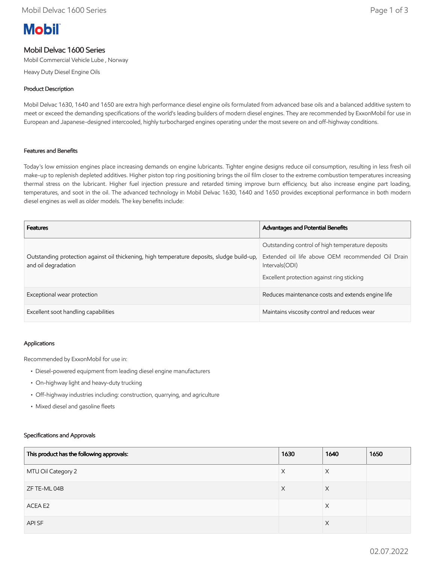# **Mobil**

## Mobil Delvac 1600 Series

Mobil Commercial Vehicle Lube , Norway

Heavy Duty Diesel Engine Oils

### Product Description

Mobil Delvac 1630, 1640 and 1650 are extra high performance diesel engine oils formulated from advanced base oils and a balanced additive system to meet or exceed the demanding specifications of the world's leading builders of modern diesel engines. They are recommended by ExxonMobil for use in European and Japanese-designed intercooled, highly turbocharged engines operating under the most severe on and off-highway conditions.

#### Features and Benefits

Today's low emission engines place increasing demands on engine lubricants. Tighter engine designs reduce oil consumption, resulting in less fresh oil make-up to replenish depleted additives. Higher piston top ring positioning brings the oil film closer to the extreme combustion temperatures increasing thermal stress on the lubricant. Higher fuel injection pressure and retarded timing improve burn efficiency, but also increase engine part loading, temperatures, and soot in the oil. The advanced technology in Mobil Delvac 1630, 1640 and 1650 provides exceptional performance in both modern diesel engines as well as older models. The key benefits include:

| <b>Features</b>                                                                                                   | <b>Advantages and Potential Benefits</b>                                                                                                                               |
|-------------------------------------------------------------------------------------------------------------------|------------------------------------------------------------------------------------------------------------------------------------------------------------------------|
| Outstanding protection against oil thickening, high temperature deposits, sludge build-up,<br>and oil degradation | Outstanding control of high temperature deposits<br>Extended oil life above OEM recommended Oil Drain<br>Intervals (ODI)<br>Excellent protection against ring sticking |
| Exceptional wear protection                                                                                       | Reduces maintenance costs and extends engine life                                                                                                                      |
| Excellent soot handling capabilities                                                                              | Maintains viscosity control and reduces wear                                                                                                                           |

#### Applications

Recommended by ExxonMobil for use in:

- Diesel-powered equipment from leading diesel engine manufacturers
- On-highway light and heavy-duty trucking
- Off-highway industries including: construction, quarrying, and agriculture
- Mixed diesel and gasoline fleets

#### Specifications and Approvals

| This product has the following approvals: | 1630 | 1640     | 1650 |
|-------------------------------------------|------|----------|------|
| MTU Oil Category 2                        | X    | X        |      |
| ZF TE-ML 04B                              | X    | $\times$ |      |
| ACEA E2                                   |      | X        |      |
| API SF                                    |      | X        |      |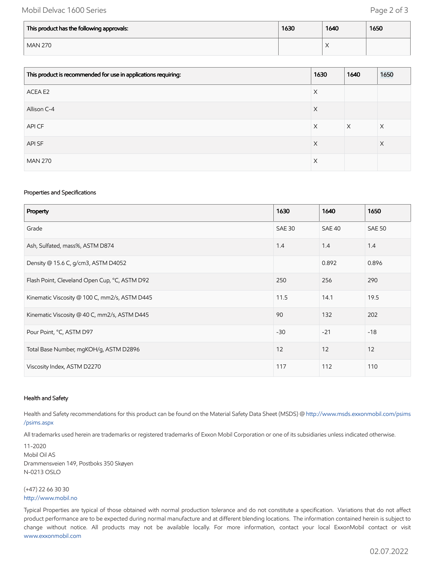## Mobil Delvac 1600 Series **Page 2 of 3**

| This product has the following approvals: | 1630 | 1640 | 1650 |
|-------------------------------------------|------|------|------|
| <b>MAN 270</b>                            |      |      |      |

| This product is recommended for use in applications requiring: | 1630 | 1640     | 1650 |
|----------------------------------------------------------------|------|----------|------|
| ACEA E2                                                        | X    |          |      |
| Allison C-4                                                    | X    |          |      |
| API CF                                                         | X    | $\times$ | Χ    |
| API SF                                                         | X    |          | X    |
| <b>MAN 270</b>                                                 | Χ    |          |      |

#### Properties and Specifications

| Property                                      | 1630          | 1640   | 1650          |
|-----------------------------------------------|---------------|--------|---------------|
| Grade                                         | <b>SAE 30</b> | SAE 40 | <b>SAE 50</b> |
| Ash, Sulfated, mass%, ASTM D874               | 1.4           | 1.4    | 1.4           |
| Density @ 15.6 C, g/cm3, ASTM D4052           |               | 0.892  | 0.896         |
| Flash Point, Cleveland Open Cup, °C, ASTM D92 | 250           | 256    | 290           |
| Kinematic Viscosity @ 100 C, mm2/s, ASTM D445 | 11.5          | 14.1   | 19.5          |
| Kinematic Viscosity @ 40 C, mm2/s, ASTM D445  | 90            | 132    | 202           |
| Pour Point, °C, ASTM D97                      | $-30$         | $-21$  | $-18$         |
| Total Base Number, mgKOH/g, ASTM D2896        | 12            | 12     | 12            |
| Viscosity Index, ASTM D2270                   | 117           | 112    | 110           |

#### Health and Safety

Health and Safety recommendations for this product can be found on the Material Safety Data Sheet (MSDS) @ [http://www.msds.exxonmobil.com/psims](http://www.msds.exxonmobil.com/psims/psims.aspx) /psims.aspx

All trademarks used herein are trademarks or registered trademarks of Exxon Mobil Corporation or one of its subsidiaries unless indicated otherwise.

11-2020 Mobil Oil AS Drammensveien 149, Postboks 350 Skøyen N-0213 OSLO

(+47) 22 66 30 30 [http://www.mobil.no](http://www.mobil.no/)

Typical Properties are typical of those obtained with normal production tolerance and do not constitute a specification. Variations that do not affect product performance are to be expected during normal manufacture and at different blending locations. The information contained herein is subject to change without notice. All products may not be available locally. For more information, contact your local ExxonMobil contact or visit [www.exxonmobil.com](http://www.exxonmobil.com/)